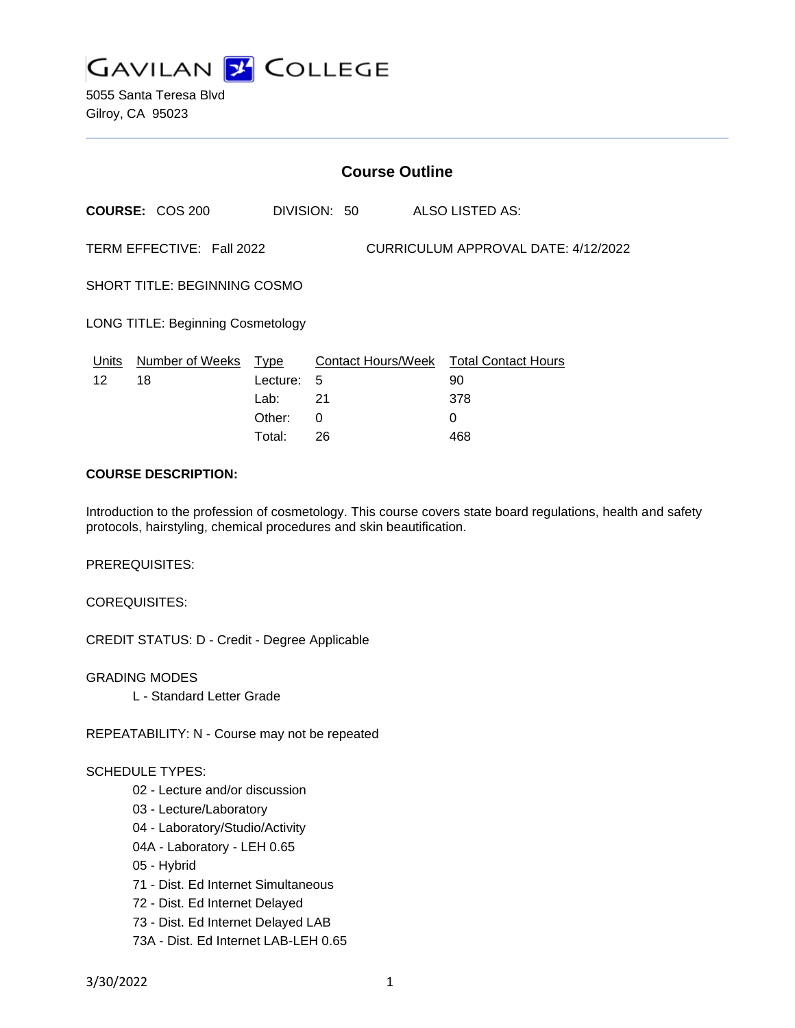

5055 Santa Teresa Blvd Gilroy, CA 95023

|                                                                  | <b>Course Outline</b>  |                               |              |  |                                                     |  |  |
|------------------------------------------------------------------|------------------------|-------------------------------|--------------|--|-----------------------------------------------------|--|--|
|                                                                  | <b>COURSE: COS 200</b> |                               | DIVISION: 50 |  | ALSO LISTED AS:                                     |  |  |
| TERM EFFECTIVE: Fall 2022<br>CURRICULUM APPROVAL DATE: 4/12/2022 |                        |                               |              |  |                                                     |  |  |
| <b>SHORT TITLE: BEGINNING COSMO</b>                              |                        |                               |              |  |                                                     |  |  |
| <b>LONG TITLE: Beginning Cosmetology</b>                         |                        |                               |              |  |                                                     |  |  |
| Units<br>12                                                      | Number of Weeks<br>18  | Type<br>5<br>Lecture:<br>Lab: | 21           |  | Contact Hours/Week Total Contact Hours<br>90<br>378 |  |  |
|                                                                  |                        | Other:<br>0                   |              |  | 0                                                   |  |  |

Total: 26 468

#### **COURSE DESCRIPTION:**

Introduction to the profession of cosmetology. This course covers state board regulations, health and safety protocols, hairstyling, chemical procedures and skin beautification.

PREREQUISITES:

COREQUISITES:

CREDIT STATUS: D - Credit - Degree Applicable

GRADING MODES L - Standard Letter Grade

REPEATABILITY: N - Course may not be repeated

## SCHEDULE TYPES:

- 02 Lecture and/or discussion
- 03 Lecture/Laboratory
- 04 Laboratory/Studio/Activity
- 04A Laboratory LEH 0.65
- 05 Hybrid
- 71 Dist. Ed Internet Simultaneous
- 72 Dist. Ed Internet Delayed
- 73 Dist. Ed Internet Delayed LAB
- 73A Dist. Ed Internet LAB-LEH 0.65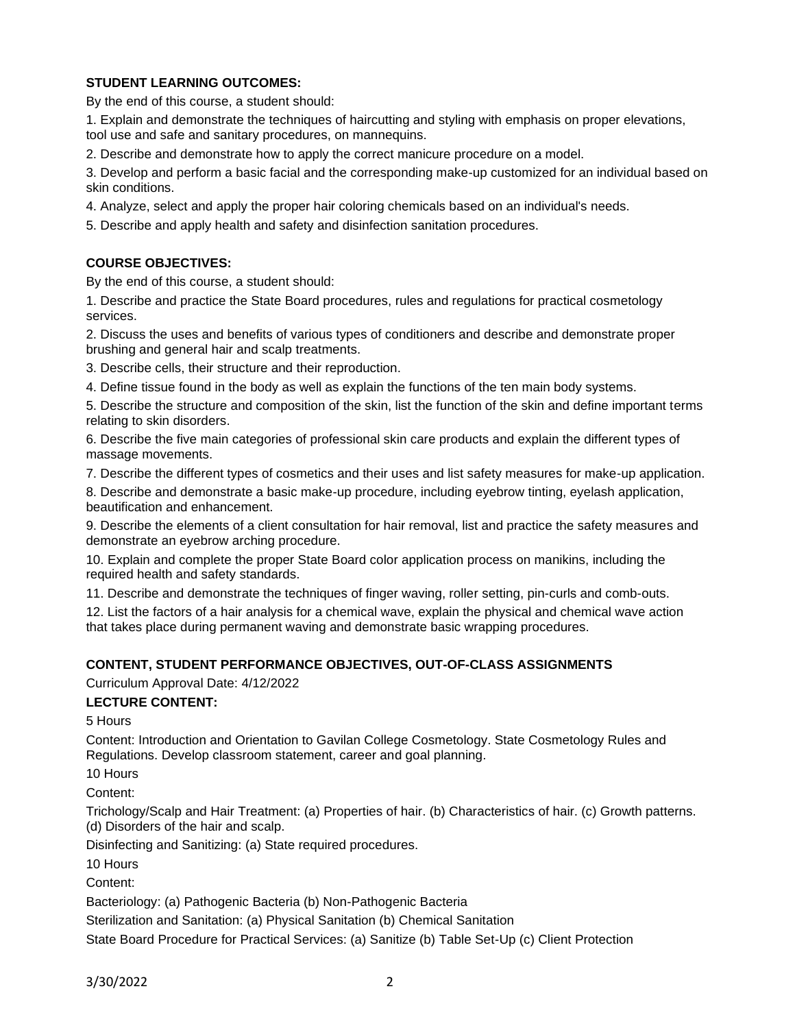# **STUDENT LEARNING OUTCOMES:**

By the end of this course, a student should:

1. Explain and demonstrate the techniques of haircutting and styling with emphasis on proper elevations, tool use and safe and sanitary procedures, on mannequins.

2. Describe and demonstrate how to apply the correct manicure procedure on a model.

3. Develop and perform a basic facial and the corresponding make-up customized for an individual based on skin conditions.

4. Analyze, select and apply the proper hair coloring chemicals based on an individual's needs.

5. Describe and apply health and safety and disinfection sanitation procedures.

## **COURSE OBJECTIVES:**

By the end of this course, a student should:

1. Describe and practice the State Board procedures, rules and regulations for practical cosmetology services.

2. Discuss the uses and benefits of various types of conditioners and describe and demonstrate proper brushing and general hair and scalp treatments.

3. Describe cells, their structure and their reproduction.

4. Define tissue found in the body as well as explain the functions of the ten main body systems.

5. Describe the structure and composition of the skin, list the function of the skin and define important terms relating to skin disorders.

6. Describe the five main categories of professional skin care products and explain the different types of massage movements.

7. Describe the different types of cosmetics and their uses and list safety measures for make-up application.

8. Describe and demonstrate a basic make-up procedure, including eyebrow tinting, eyelash application, beautification and enhancement.

9. Describe the elements of a client consultation for hair removal, list and practice the safety measures and demonstrate an eyebrow arching procedure.

10. Explain and complete the proper State Board color application process on manikins, including the required health and safety standards.

11. Describe and demonstrate the techniques of finger waving, roller setting, pin-curls and comb-outs.

12. List the factors of a hair analysis for a chemical wave, explain the physical and chemical wave action that takes place during permanent waving and demonstrate basic wrapping procedures.

## **CONTENT, STUDENT PERFORMANCE OBJECTIVES, OUT-OF-CLASS ASSIGNMENTS**

## Curriculum Approval Date: 4/12/2022

**LECTURE CONTENT:**

5 Hours

Content: Introduction and Orientation to Gavilan College Cosmetology. State Cosmetology Rules and Regulations. Develop classroom statement, career and goal planning.

10 Hours

Content:

Trichology/Scalp and Hair Treatment: (a) Properties of hair. (b) Characteristics of hair. (c) Growth patterns. (d) Disorders of the hair and scalp.

Disinfecting and Sanitizing: (a) State required procedures.

10 Hours

Content:

Bacteriology: (a) Pathogenic Bacteria (b) Non-Pathogenic Bacteria

Sterilization and Sanitation: (a) Physical Sanitation (b) Chemical Sanitation

State Board Procedure for Practical Services: (a) Sanitize (b) Table Set-Up (c) Client Protection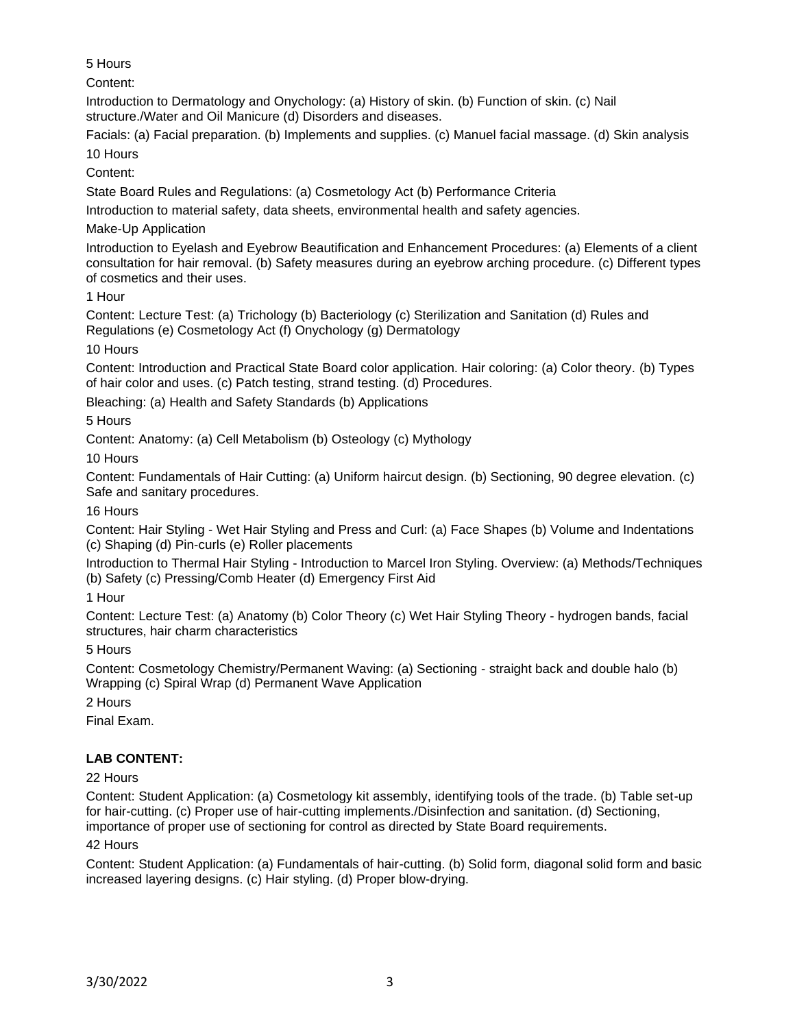5 Hours

Content:

Introduction to Dermatology and Onychology: (a) History of skin. (b) Function of skin. (c) Nail structure./Water and Oil Manicure (d) Disorders and diseases.

Facials: (a) Facial preparation. (b) Implements and supplies. (c) Manuel facial massage. (d) Skin analysis 10 Hours

Content:

State Board Rules and Regulations: (a) Cosmetology Act (b) Performance Criteria

Introduction to material safety, data sheets, environmental health and safety agencies.

Make-Up Application

Introduction to Eyelash and Eyebrow Beautification and Enhancement Procedures: (a) Elements of a client consultation for hair removal. (b) Safety measures during an eyebrow arching procedure. (c) Different types of cosmetics and their uses.

1 Hour

Content: Lecture Test: (a) Trichology (b) Bacteriology (c) Sterilization and Sanitation (d) Rules and Regulations (e) Cosmetology Act (f) Onychology (g) Dermatology

10 Hours

Content: Introduction and Practical State Board color application. Hair coloring: (a) Color theory. (b) Types of hair color and uses. (c) Patch testing, strand testing. (d) Procedures.

Bleaching: (a) Health and Safety Standards (b) Applications

5 Hours

Content: Anatomy: (a) Cell Metabolism (b) Osteology (c) Mythology

10 Hours

Content: Fundamentals of Hair Cutting: (a) Uniform haircut design. (b) Sectioning, 90 degree elevation. (c) Safe and sanitary procedures.

16 Hours

Content: Hair Styling - Wet Hair Styling and Press and Curl: (a) Face Shapes (b) Volume and Indentations (c) Shaping (d) Pin-curls (e) Roller placements

Introduction to Thermal Hair Styling - Introduction to Marcel Iron Styling. Overview: (a) Methods/Techniques (b) Safety (c) Pressing/Comb Heater (d) Emergency First Aid

1 Hour

Content: Lecture Test: (a) Anatomy (b) Color Theory (c) Wet Hair Styling Theory - hydrogen bands, facial structures, hair charm characteristics

5 Hours

Content: Cosmetology Chemistry/Permanent Waving: (a) Sectioning - straight back and double halo (b) Wrapping (c) Spiral Wrap (d) Permanent Wave Application

2 Hours

Final Exam.

# **LAB CONTENT:**

# 22 Hours

Content: Student Application: (a) Cosmetology kit assembly, identifying tools of the trade. (b) Table set-up for hair-cutting. (c) Proper use of hair-cutting implements./Disinfection and sanitation. (d) Sectioning, importance of proper use of sectioning for control as directed by State Board requirements.

# 42 Hours

Content: Student Application: (a) Fundamentals of hair-cutting. (b) Solid form, diagonal solid form and basic increased layering designs. (c) Hair styling. (d) Proper blow-drying.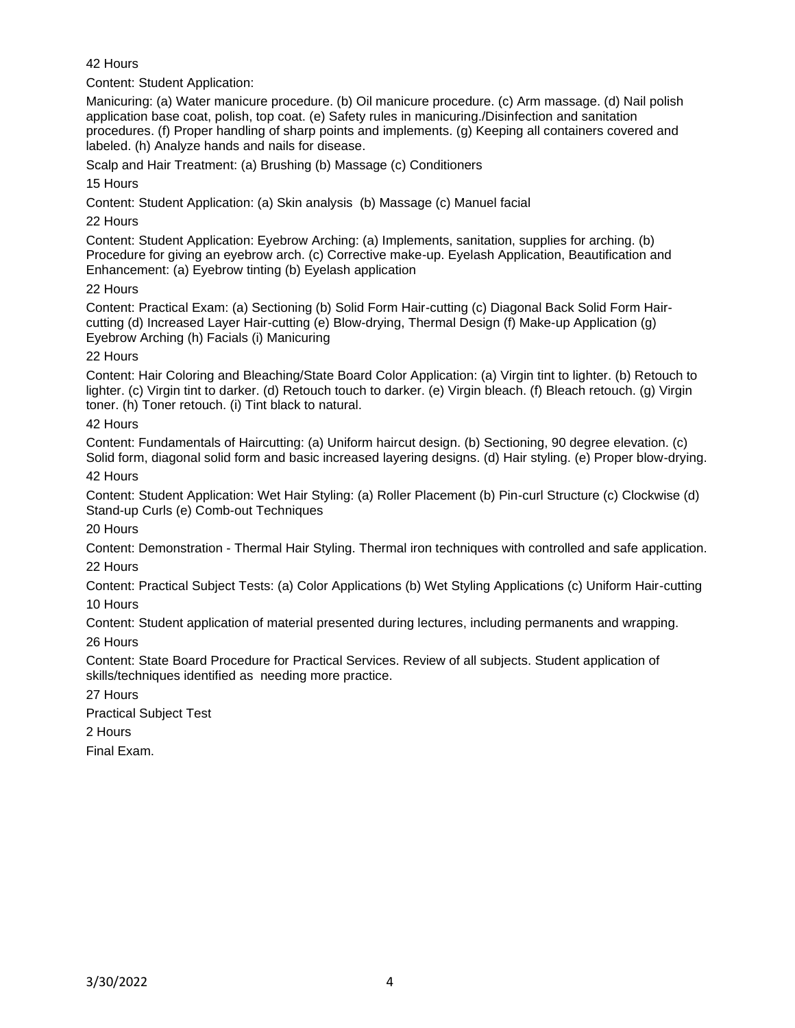42 Hours

Content: Student Application:

Manicuring: (a) Water manicure procedure. (b) Oil manicure procedure. (c) Arm massage. (d) Nail polish application base coat, polish, top coat. (e) Safety rules in manicuring./Disinfection and sanitation procedures. (f) Proper handling of sharp points and implements. (g) Keeping all containers covered and labeled. (h) Analyze hands and nails for disease.

Scalp and Hair Treatment: (a) Brushing (b) Massage (c) Conditioners

15 Hours

Content: Student Application: (a) Skin analysis (b) Massage (c) Manuel facial

22 Hours

Content: Student Application: Eyebrow Arching: (a) Implements, sanitation, supplies for arching. (b) Procedure for giving an eyebrow arch. (c) Corrective make-up. Eyelash Application, Beautification and Enhancement: (a) Eyebrow tinting (b) Eyelash application

22 Hours

Content: Practical Exam: (a) Sectioning (b) Solid Form Hair-cutting (c) Diagonal Back Solid Form Haircutting (d) Increased Layer Hair-cutting (e) Blow-drying, Thermal Design (f) Make-up Application (g) Eyebrow Arching (h) Facials (i) Manicuring

# 22 Hours

Content: Hair Coloring and Bleaching/State Board Color Application: (a) Virgin tint to lighter. (b) Retouch to lighter. (c) Virgin tint to darker. (d) Retouch touch to darker. (e) Virgin bleach. (f) Bleach retouch. (g) Virgin toner. (h) Toner retouch. (i) Tint black to natural.

# 42 Hours

Content: Fundamentals of Haircutting: (a) Uniform haircut design. (b) Sectioning, 90 degree elevation. (c) Solid form, diagonal solid form and basic increased layering designs. (d) Hair styling. (e) Proper blow-drying. 42 Hours

Content: Student Application: Wet Hair Styling: (a) Roller Placement (b) Pin-curl Structure (c) Clockwise (d) Stand-up Curls (e) Comb-out Techniques

20 Hours

Content: Demonstration - Thermal Hair Styling. Thermal iron techniques with controlled and safe application.

22 Hours

Content: Practical Subject Tests: (a) Color Applications (b) Wet Styling Applications (c) Uniform Hair-cutting 10 Hours

Content: Student application of material presented during lectures, including permanents and wrapping. 26 Hours

Content: State Board Procedure for Practical Services. Review of all subjects. Student application of skills/techniques identified as needing more practice.

27 Hours

Practical Subject Test

2 Hours

Final Exam.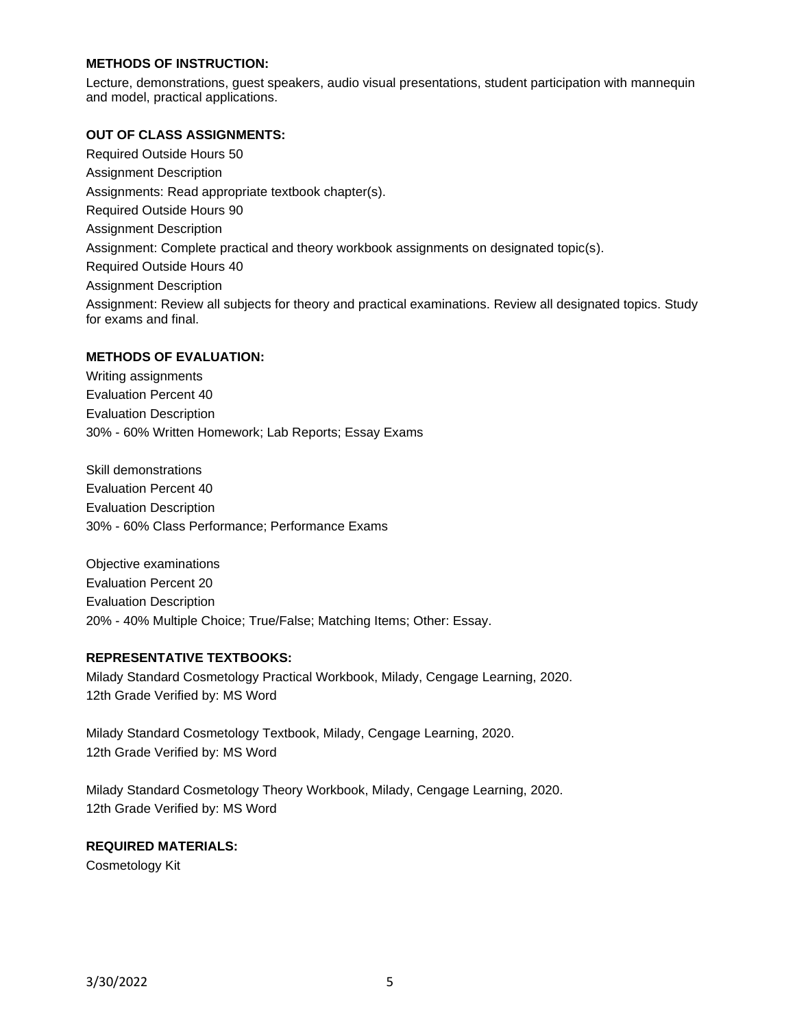## **METHODS OF INSTRUCTION:**

Lecture, demonstrations, guest speakers, audio visual presentations, student participation with mannequin and model, practical applications.

#### **OUT OF CLASS ASSIGNMENTS:**

Required Outside Hours 50 Assignment Description Assignments: Read appropriate textbook chapter(s). Required Outside Hours 90 Assignment Description Assignment: Complete practical and theory workbook assignments on designated topic(s). Required Outside Hours 40 Assignment Description Assignment: Review all subjects for theory and practical examinations. Review all designated topics. Study for exams and final.

#### **METHODS OF EVALUATION:**

Writing assignments Evaluation Percent 40 Evaluation Description 30% - 60% Written Homework; Lab Reports; Essay Exams

Skill demonstrations Evaluation Percent 40 Evaluation Description 30% - 60% Class Performance; Performance Exams

Objective examinations Evaluation Percent 20 Evaluation Description 20% - 40% Multiple Choice; True/False; Matching Items; Other: Essay.

#### **REPRESENTATIVE TEXTBOOKS:**

Milady Standard Cosmetology Practical Workbook, Milady, Cengage Learning, 2020. 12th Grade Verified by: MS Word

Milady Standard Cosmetology Textbook, Milady, Cengage Learning, 2020. 12th Grade Verified by: MS Word

Milady Standard Cosmetology Theory Workbook, Milady, Cengage Learning, 2020. 12th Grade Verified by: MS Word

## **REQUIRED MATERIALS:**

Cosmetology Kit